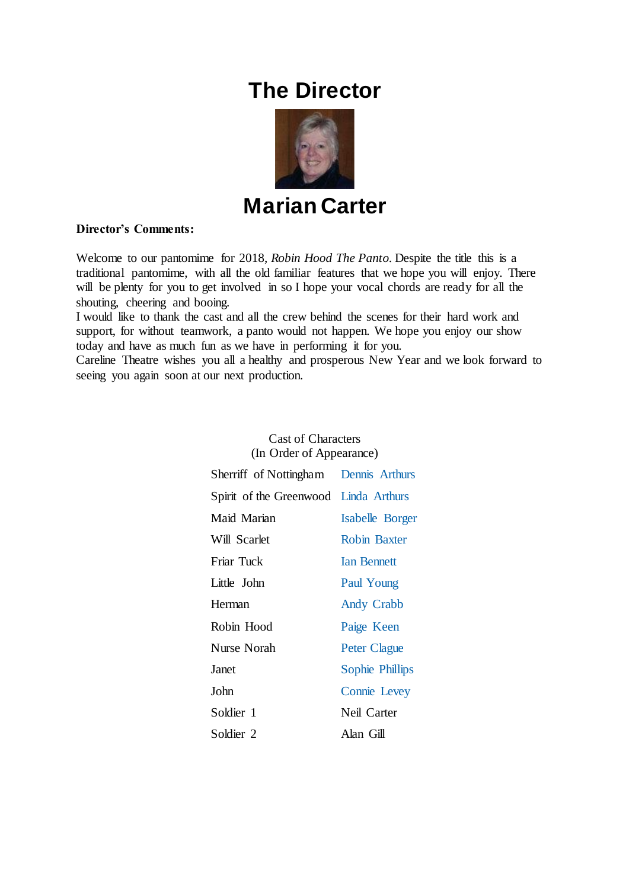# **The Director**



**Marian Carter**

## **Director's Comments:**

Welcome to our pantomime for 2018, *Robin Hood The Panto.* Despite the title this is a traditional pantomime, with all the old familiar features that we hope you will enjoy. There will be plenty for you to get involved in so I hope your vocal chords are ready for all the shouting, cheering and booing.

I would like to thank the cast and all the crew behind the scenes for their hard work and support, for without teamwork, a panto would not happen. We hope you enjoy our show today and have as much fun as we have in performing it for you.

Careline Theatre wishes you all a healthy and prosperous New Year and we look forward to seeing you again soon at our next production.

| (In Order of Appearance)              |                     |  |
|---------------------------------------|---------------------|--|
| Sherriff of Nottingham Dennis Arthurs |                     |  |
| Spirit of the Greenwood Linda Arthurs |                     |  |
| Maid Marian                           | Isabelle Borger     |  |
| Will Scarlet                          | Robin Baxter        |  |
| Friar Tuck                            | <b>Ian Bennett</b>  |  |
| Little John                           | Paul Young          |  |
| Herman                                | <b>Andy Crabb</b>   |  |
| Robin Hood                            | Paige Keen          |  |
| Nurse Norah                           | <b>Peter Clague</b> |  |
| Janet                                 | Sophie Phillips     |  |
| John                                  | Connie Levey        |  |
| Soldier 1                             | Neil Carter         |  |
| Soldier 2                             | Alan Gill           |  |

Cast of Characters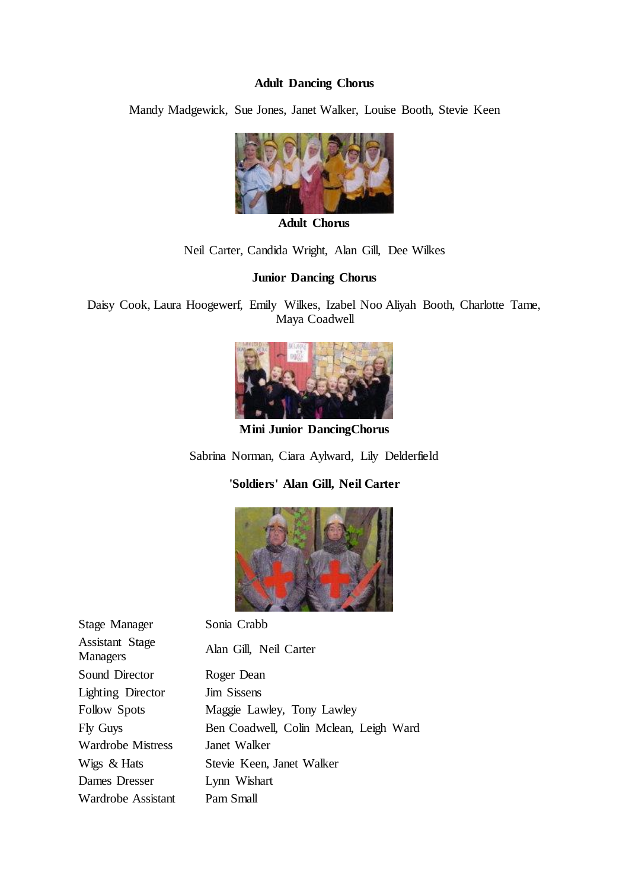### **Adult Dancing Chorus**

Mandy Madgewick, Sue Jones, Janet Walker, Louise Booth, Stevie Keen



**Adult Chorus**

## Neil Carter, Candida Wright, Alan Gill, Dee Wilkes

### **Junior Dancing Chorus**

Daisy Cook, Laura Hoogewerf, Emily Wilkes, Izabel Noo Aliyah Booth, Charlotte Tame, Maya Coadwell



**Mini Junior DancingChorus**

Sabrina Norman, Ciara Aylward, Lily Delderfield

**'Soldiers' Alan Gill, Neil Carter**



| Stage Manager                             | Sonia Crabb                            |
|-------------------------------------------|----------------------------------------|
| <b>Assistant Stage</b><br><b>Managers</b> | Alan Gill, Neil Carter                 |
| Sound Director                            | Roger Dean                             |
| <b>Lighting Director</b>                  | <b>Jim Sissens</b>                     |
| <b>Follow Spots</b>                       | Maggie Lawley, Tony Lawley             |
| Fly Guys                                  | Ben Coadwell, Colin Mclean, Leigh Ward |
| <b>Wardrobe Mistress</b>                  | Janet Walker                           |
| Wigs & Hats                               | Stevie Keen, Janet Walker              |
| Dames Dresser                             | Lynn Wishart                           |
| Wardrobe Assistant                        | Pam Small                              |
|                                           |                                        |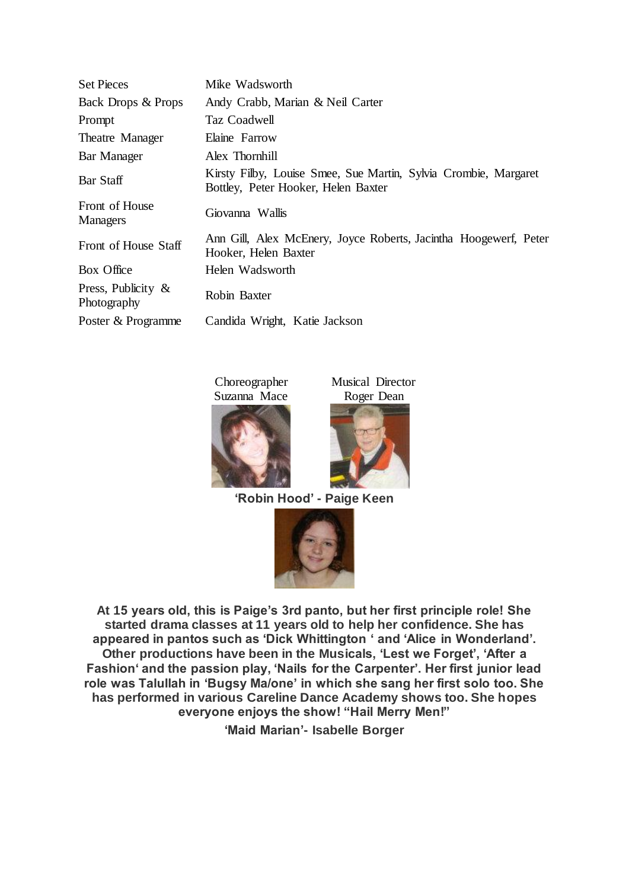| <b>Set Pieces</b>                    | Mike Wadsworth                                                                                         |
|--------------------------------------|--------------------------------------------------------------------------------------------------------|
| Back Drops & Props                   | Andy Crabb, Marian & Neil Carter                                                                       |
| Prompt                               | Taz Coadwell                                                                                           |
| Theatre Manager                      | Elaine Farrow                                                                                          |
| Bar Manager                          | Alex Thornhill                                                                                         |
| Bar Staff                            | Kirsty Filby, Louise Smee, Sue Martin, Sylvia Crombie, Margaret<br>Bottley, Peter Hooker, Helen Baxter |
| Front of House<br>Managers           | Giovanna Wallis                                                                                        |
| Front of House Staff                 | Ann Gill, Alex McEnery, Joyce Roberts, Jacintha Hoogewerf, Peter<br>Hooker, Helen Baxter               |
| Box Office                           | Helen Wadsworth                                                                                        |
| Press, Publicity $\&$<br>Photography | Robin Baxter                                                                                           |
| Poster & Programme                   | Candida Wright, Katie Jackson                                                                          |

Choreographer Suzanna Mace

Musical Director Roger Dean





**'Robin Hood' - Paige Keen**



**At 15 years old, this is Paige's 3rd panto, but her first principle role! She started drama classes at 11 years old to help her confidence. She has appeared in pantos such as 'Dick Whittington ' and 'Alice in Wonderland'. Other productions have been in the Musicals, 'Lest we Forget', 'After a Fashion' and the passion play, 'Nails for the Carpenter'. Her first junior lead role was Talullah in 'Bugsy Ma/one' in which she sang her first solo too. She has performed in various Careline Dance Academy shows too. She hopes everyone enjoys the show! "Hail Merry Men!"**

**'Maid Marian'- Isabelle Borger**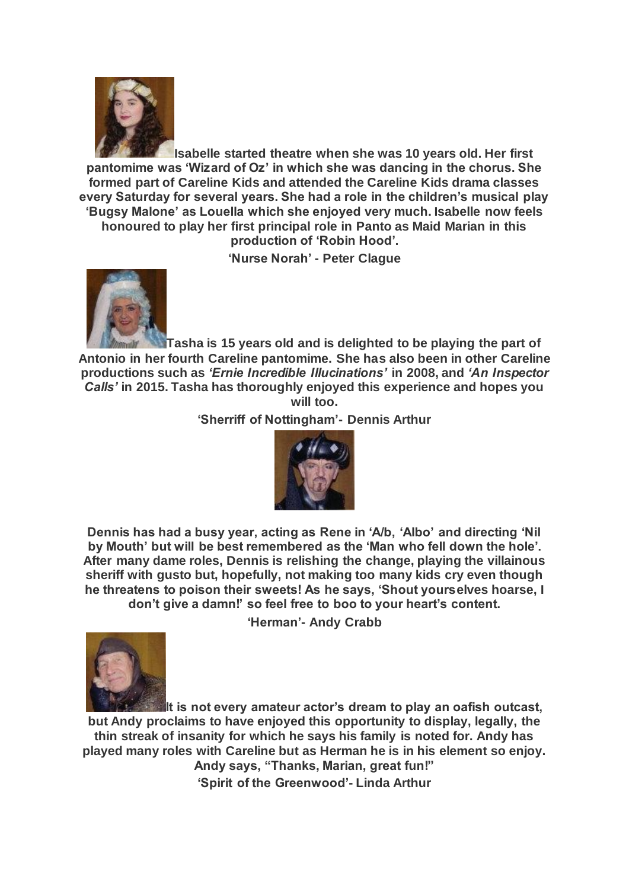

**Isabelle started theatre when she was 10 years old. Her first pantomime was 'Wizard of Oz' in which she was dancing in the chorus. She formed part of Careline Kids and attended the Careline Kids drama classes every Saturday for several years. She had a role in the children's musical play 'Bugsy Malone' as Louella which she enjoyed very much. Isabelle now feels honoured to play her first principal role in Panto as Maid Marian in this production of 'Robin Hood'.**

**'Nurse Norah' - Peter Clague**



**Tasha is 15 years old and is delighted to be playing the part of Antonio in her fourth Careline pantomime. She has also been in other Careline productions such as** *'Ernie Incredible Illucinations'* **in 2008, and** *'An Inspector Calls'* **in 2015. Tasha has thoroughly enjoyed this experience and hopes you will too.**

**'Sherriff of Nottingham'- Dennis Arthur**



**Dennis has had a busy year, acting as Rene in 'A/b, 'Albo' and directing 'Nil by Mouth' but will be best remembered as the 'Man who fell down the hole'. After many dame roles, Dennis is relishing the change, playing the villainous sheriff with gusto but, hopefully, not making too many kids cry even though he threatens to poison their sweets! As he says, 'Shout yourselves hoarse, I don't give a damn!' so feel free to boo to your heart's content.**

**'Herman'- Andy Crabb**



**It is not every amateur actor's dream to play an oafish outcast, but Andy proclaims to have enjoyed this opportunity to display, legally, the thin streak of insanity for which he says his family is noted for. Andy has played many roles with Careline but as Herman he is in his element so enjoy. Andy says, "Thanks, Marian, great fun!" 'Spirit of the Greenwood'- Linda Arthur**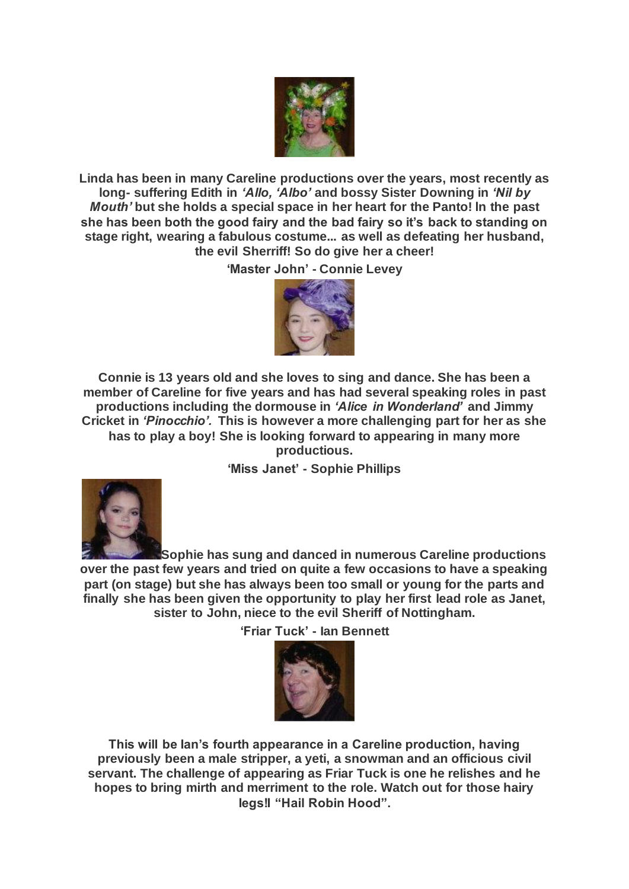

**Linda has been in many Careline productions over the years, most recently as long- suffering Edith in** *'Allo, 'Albo'* **and bossy Sister Downing in** *'Nil by Mouth'* **but she holds a special space in her heart for the Panto! ln the past she has been both the good fairy and the bad fairy so it's back to standing on stage right, wearing a fabulous costume... as well as defeating her husband, the evil Sherriff! So do give her a cheer!**

**'Master John' - Connie Levey**



**Connie is 13 years old and she loves to sing and dance. She has been a member of Careline for five years and has had several speaking roles in past productions including the dormouse in** *'Alice in Wonderland'* **and Jimmy Cricket in** *'Pinocchio'.* **This is however a more challenging part for her as she has to play a boy! She is looking forward to appearing in many more productious.**

**'Miss Janet' - Sophie Phillips**



**Sophie has sung and danced in numerous Careline productions over the past few years and tried on quite a few occasions to have a speaking part (on stage) but she has always been too small or young for the parts and finally she has been given the opportunity to play her first lead role as Janet, sister to John, niece to the evil Sheriff of Nottingham.**

**'Friar Tuck' - Ian Bennett**



**This will be Ian's fourth appearance in a Careline production, having previously been a male stripper, a yeti, a snowman and an officious civil servant. The challenge of appearing as Friar Tuck is one he relishes and he hopes to bring mirth and merriment to the role. Watch out for those hairy legs!I "Hail Robin Hood".**